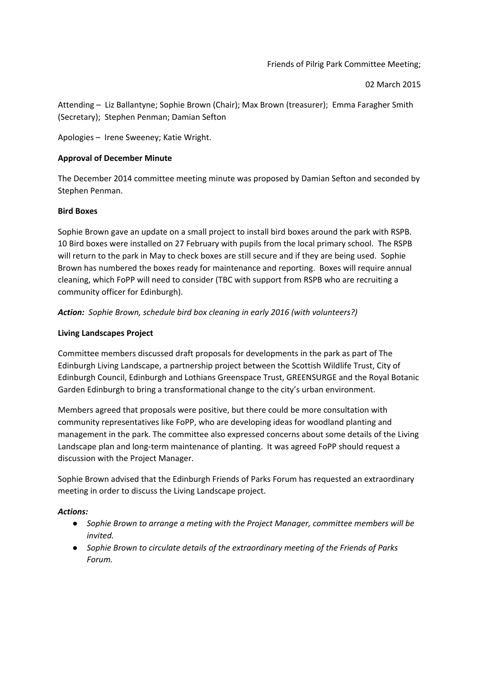02 March 2015

Attending – Liz Ballantyne; Sophie Brown (Chair); Max Brown (treasurer); Emma Faragher Smith (Secretary); Stephen Penman; Damian Sefton

Apologies – Irene Sweeney; Katie Wright.

# **Approval of December Minute**

The December 2014 committee meeting minute was proposed by Damian Sefton and seconded by Stephen Penman.

# **Bird Boxes**

Sophie Brown gave an update on a small project to install bird boxes around the park with RSPB. 10 Bird boxes were installed on 27 February with pupils from the local primary school. The RSPB will return to the park in May to check boxes are still secure and if they are being used. Sophie Brown has numbered the boxes ready for maintenance and reporting. Boxes will require annual cleaning, which FoPP will need to consider (TBC with support from RSPB who are recruiting a community officer for Edinburgh).

*Action: Sophie Brown, schedule bird box cleaning in early 2016 (with volunteers?)*

# **Living Landscapes Project**

Committee members discussed draft proposals for developments in the park as part of The Edinburgh Living Landscape, a partnership project between the Scottish Wildlife Trust, City of Edinburgh Council, Edinburgh and Lothians Greenspace Trust, GREENSURGE and the Royal Botanic Garden Edinburgh to bring a transformational change to the city's urban environment.

Members agreed that proposals were positive, but there could be more consultation with community representatives like FoPP, who are developing ideas for woodland planting and management in the park. The committee also expressed concerns about some details of the Living Landscape plan and long-term maintenance of planting. It was agreed FoPP should request a discussion with the Project Manager.

Sophie Brown advised that the Edinburgh Friends of Parks Forum has requested an extraordinary meeting in order to discuss the Living Landscape project.

### *Actions:*

- *● Sophie Brown to arrange a meting with the Project Manager, committee members will be invited.*
- *● Sophie Brown to circulate details of the extraordinary meeting of the Friends of Parks Forum.*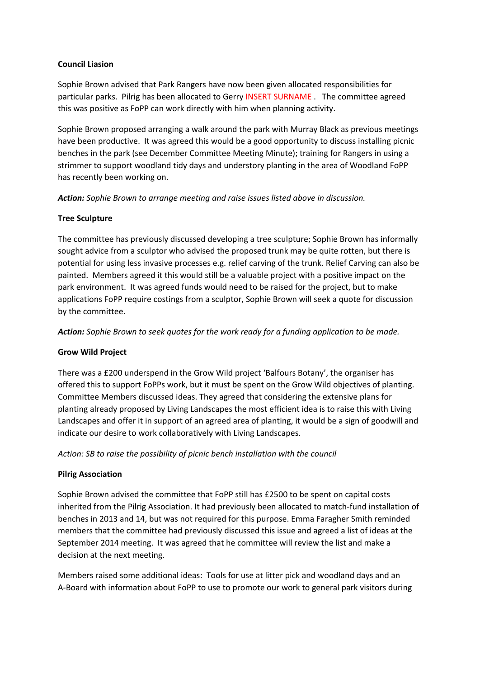### **Council Liasion**

Sophie Brown advised that Park Rangers have now been given allocated responsibilities for particular parks. Pilrig has been allocated to Gerry INSERT SURNAME . The committee agreed this was positive as FoPP can work directly with him when planning activity.

Sophie Brown proposed arranging a walk around the park with Murray Black as previous meetings have been productive. It was agreed this would be a good opportunity to discuss installing picnic benches in the park (see December Committee Meeting Minute); training for Rangers in using a strimmer to support woodland tidy days and understory planting in the area of Woodland FoPP has recently been working on.

*Action:Sophie Brown to arrange meeting and raise issues listed above in discussion.*

### **Tree Sculpture**

The committee has previously discussed developing a tree sculpture; Sophie Brown has informally sought advice from a sculptor who advised the proposed trunk may be quite rotten, but there is potential for using less invasive processes e.g. relief carving of the trunk. Relief Carving can also be painted. Members agreed it this would still be a valuable project with a positive impact on the park environment. It was agreed funds would need to be raised for the project, but to make applications FoPP require costings from a sculptor, Sophie Brown will seek a quote for discussion by the committee.

*Action: Sophie Brown to seek quotes for the work ready for a funding application to be made.*

### **Grow Wild Project**

There was a £200 underspend in the Grow Wild project 'Balfours Botany', the organiser has offered this to support FoPPs work, but it must be spent on the Grow Wild objectives of planting. Committee Members discussed ideas. They agreed that considering the extensive plans for planting already proposed by Living Landscapes the most efficient idea is to raise this with Living Landscapes and offer it in support of an agreed area of planting, it would be a sign of goodwill and indicate our desire to work collaboratively with Living Landscapes.

*Action: SB to raise the possibility of picnic bench installation with the council*

### **Pilrig Association**

Sophie Brown advised the committee that FoPP still has £2500 to be spent on capital costs inherited from the Pilrig Association. It had previously been allocated to match-fund installation of benches in 2013 and 14, but was not required for this purpose. Emma Faragher Smith reminded members that the committee had previously discussed this issue and agreed a list of ideas at the September 2014 meeting. It was agreed that he committee will review the list and make a decision at the next meeting.

Members raised some additional ideas: Tools for use at litter pick and woodland days and an A-Board with information about FoPP to use to promote our work to general park visitors during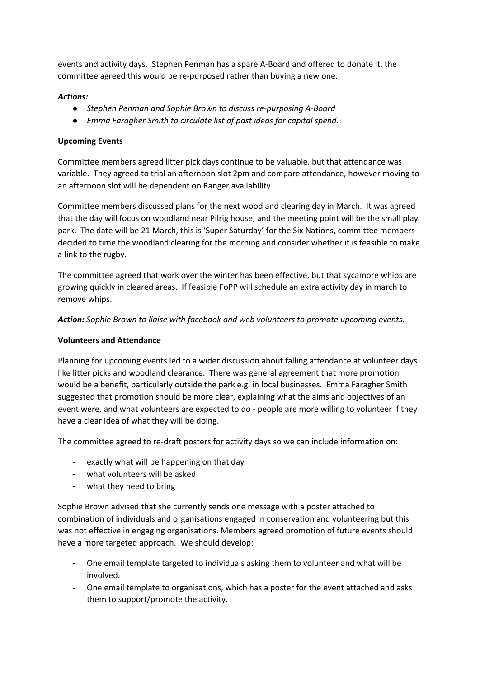events and activity days. Stephen Penman has a spare A-Board and offered to donate it, the committee agreed this would be re-purposed rather than buying a new one.

### *Actions:*

- *● Stephen Penman and Sophie Brown to discuss re-purposing A-Board*
- *● Emma Faragher Smith to circulate list of past ideas for capital spend.*

### **Upcoming Events**

Committee members agreed litter pick days continue to be valuable, but that attendance was variable. They agreed to trial an afternoon slot 2pm and compare attendance, however moving to an afternoon slot will be dependent on Ranger availability.

Committee members discussed plans for the next woodland clearing day in March. It was agreed that the day will focus on woodland near Pilrig house, and the meeting point will be the small play park. The date will be 21 March, this is 'Super Saturday' for the Six Nations, committee members decided to time the woodland clearing for the morning and consider whether it is feasible to make a link to the rugby.

The committee agreed that work over the winter has been effective, but that sycamore whips are growing quickly in cleared areas. If feasible FoPP will schedule an extra activity day in march to remove whips.

*Action:Sophie Brown to liaise with facebook and web volunteers to promote upcoming events.*

#### **Volunteers and Attendance**

Planning for upcoming events led to a wider discussion about falling attendance at volunteer days like litter picks and woodland clearance. There was general agreement that more promotion would be a benefit, particularly outside the park e.g. in local businesses. Emma Faragher Smith suggested that promotion should be more clear, explaining what the aims and objectives of an event were, and what volunteers are expected to do - people are more willing to volunteer if they have a clear idea of what they will be doing.

The committee agreed to re-draft posters for activity days so we can include information on:

- exactly what will be happening on that day
- what volunteers will be asked
- what they need to bring

Sophie Brown advised that she currently sends one message with a poster attached to combination of individuals and organisations engaged in conservation and volunteering but this was not effective in engaging organisations. Members agreed promotion of future events should have a more targeted approach. We should develop:

- One email template targeted to individuals asking them to volunteer and what will be involved.
- One email template to organisations, which has a poster for the event attached and asks them to support/promote the activity.